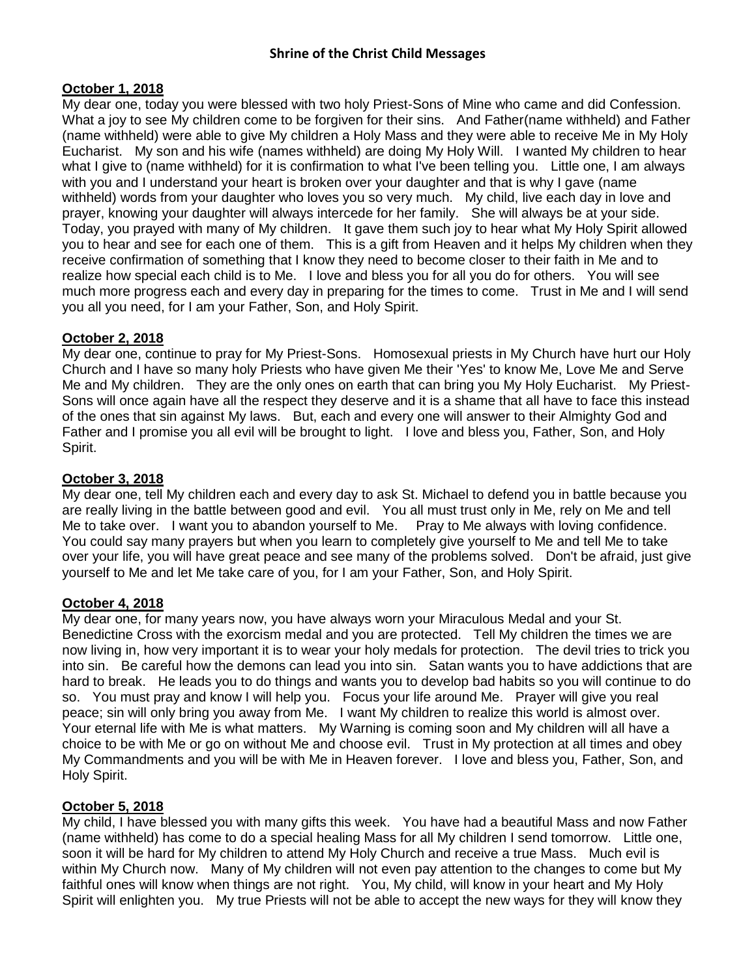## **October 1, 2018**

My dear one, today you were blessed with two holy Priest-Sons of Mine who came and did Confession. What a joy to see My children come to be forgiven for their sins. And Father(name withheld) and Father (name withheld) were able to give My children a Holy Mass and they were able to receive Me in My Holy Eucharist. My son and his wife (names withheld) are doing My Holy Will. I wanted My children to hear what I give to (name withheld) for it is confirmation to what I've been telling you. Little one, I am always with you and I understand your heart is broken over your daughter and that is why I gave (name withheld) words from your daughter who loves you so very much. My child, live each day in love and prayer, knowing your daughter will always intercede for her family. She will always be at your side. Today, you prayed with many of My children. It gave them such joy to hear what My Holy Spirit allowed you to hear and see for each one of them. This is a gift from Heaven and it helps My children when they receive confirmation of something that I know they need to become closer to their faith in Me and to realize how special each child is to Me. I love and bless you for all you do for others. You will see much more progress each and every day in preparing for the times to come. Trust in Me and I will send you all you need, for I am your Father, Son, and Holy Spirit.

### **October 2, 2018**

My dear one, continue to pray for My Priest-Sons. Homosexual priests in My Church have hurt our Holy Church and I have so many holy Priests who have given Me their 'Yes' to know Me, Love Me and Serve Me and My children. They are the only ones on earth that can bring you My Holy Eucharist. My Priest-Sons will once again have all the respect they deserve and it is a shame that all have to face this instead of the ones that sin against My laws. But, each and every one will answer to their Almighty God and Father and I promise you all evil will be brought to light. I love and bless you, Father, Son, and Holy Spirit.

# **October 3, 2018**

My dear one, tell My children each and every day to ask St. Michael to defend you in battle because you are really living in the battle between good and evil. You all must trust only in Me, rely on Me and tell Me to take over. I want you to abandon yourself to Me. Pray to Me always with loving confidence. You could say many prayers but when you learn to completely give yourself to Me and tell Me to take over your life, you will have great peace and see many of the problems solved. Don't be afraid, just give yourself to Me and let Me take care of you, for I am your Father, Son, and Holy Spirit.

# **October 4, 2018**

My dear one, for many years now, you have always worn your Miraculous Medal and your St. Benedictine Cross with the exorcism medal and you are protected. Tell My children the times we are now living in, how very important it is to wear your holy medals for protection. The devil tries to trick you into sin. Be careful how the demons can lead you into sin. Satan wants you to have addictions that are hard to break. He leads you to do things and wants you to develop bad habits so you will continue to do so. You must pray and know I will help you. Focus your life around Me. Prayer will give you real peace; sin will only bring you away from Me. I want My children to realize this world is almost over. Your eternal life with Me is what matters. My Warning is coming soon and My children will all have a choice to be with Me or go on without Me and choose evil. Trust in My protection at all times and obey My Commandments and you will be with Me in Heaven forever. I love and bless you, Father, Son, and Holy Spirit.

# **October 5, 2018**

My child, I have blessed you with many gifts this week. You have had a beautiful Mass and now Father (name withheld) has come to do a special healing Mass for all My children I send tomorrow. Little one, soon it will be hard for My children to attend My Holy Church and receive a true Mass. Much evil is within My Church now. Many of My children will not even pay attention to the changes to come but My faithful ones will know when things are not right. You, My child, will know in your heart and My Holy Spirit will enlighten you. My true Priests will not be able to accept the new ways for they will know they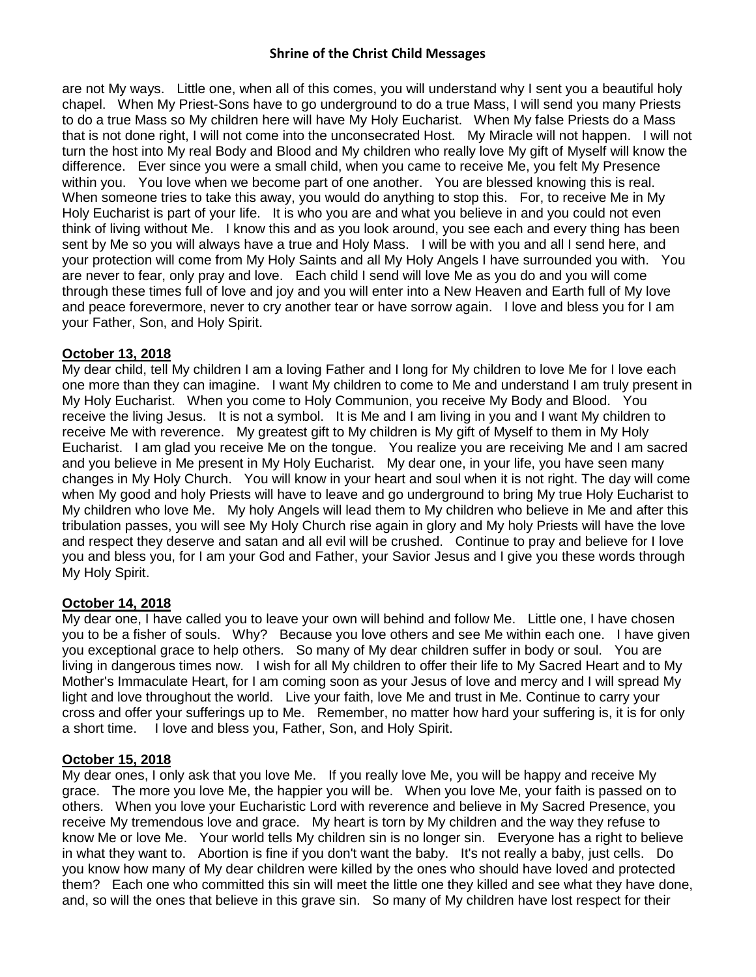are not My ways. Little one, when all of this comes, you will understand why I sent you a beautiful holy chapel. When My Priest-Sons have to go underground to do a true Mass, I will send you many Priests to do a true Mass so My children here will have My Holy Eucharist. When My false Priests do a Mass that is not done right, I will not come into the unconsecrated Host. My Miracle will not happen. I will not turn the host into My real Body and Blood and My children who really love My gift of Myself will know the difference. Ever since you were a small child, when you came to receive Me, you felt My Presence within you. You love when we become part of one another. You are blessed knowing this is real. When someone tries to take this away, you would do anything to stop this. For, to receive Me in My Holy Eucharist is part of your life. It is who you are and what you believe in and you could not even think of living without Me. I know this and as you look around, you see each and every thing has been sent by Me so you will always have a true and Holy Mass. I will be with you and all I send here, and your protection will come from My Holy Saints and all My Holy Angels I have surrounded you with. You are never to fear, only pray and love. Each child I send will love Me as you do and you will come through these times full of love and joy and you will enter into a New Heaven and Earth full of My love and peace forevermore, never to cry another tear or have sorrow again. I love and bless you for I am your Father, Son, and Holy Spirit.

### **October 13, 2018**

My dear child, tell My children I am a loving Father and I long for My children to love Me for I love each one more than they can imagine. I want My children to come to Me and understand I am truly present in My Holy Eucharist. When you come to Holy Communion, you receive My Body and Blood. You receive the living Jesus. It is not a symbol. It is Me and I am living in you and I want My children to receive Me with reverence. My greatest gift to My children is My gift of Myself to them in My Holy Eucharist. I am glad you receive Me on the tongue. You realize you are receiving Me and I am sacred and you believe in Me present in My Holy Eucharist. My dear one, in your life, you have seen many changes in My Holy Church. You will know in your heart and soul when it is not right. The day will come when My good and holy Priests will have to leave and go underground to bring My true Holy Eucharist to My children who love Me. My holy Angels will lead them to My children who believe in Me and after this tribulation passes, you will see My Holy Church rise again in glory and My holy Priests will have the love and respect they deserve and satan and all evil will be crushed. Continue to pray and believe for I love you and bless you, for I am your God and Father, your Savior Jesus and I give you these words through My Holy Spirit.

# **October 14, 2018**

My dear one, I have called you to leave your own will behind and follow Me. Little one, I have chosen you to be a fisher of souls. Why? Because you love others and see Me within each one. I have given you exceptional grace to help others. So many of My dear children suffer in body or soul. You are living in dangerous times now. I wish for all My children to offer their life to My Sacred Heart and to My Mother's Immaculate Heart, for I am coming soon as your Jesus of love and mercy and I will spread My light and love throughout the world. Live your faith, love Me and trust in Me. Continue to carry your cross and offer your sufferings up to Me. Remember, no matter how hard your suffering is, it is for only a short time. I love and bless you, Father, Son, and Holy Spirit.

# **October 15, 2018**

My dear ones, I only ask that you love Me. If you really love Me, you will be happy and receive My grace. The more you love Me, the happier you will be. When you love Me, your faith is passed on to others. When you love your Eucharistic Lord with reverence and believe in My Sacred Presence, you receive My tremendous love and grace. My heart is torn by My children and the way they refuse to know Me or love Me. Your world tells My children sin is no longer sin. Everyone has a right to believe in what they want to. Abortion is fine if you don't want the baby. It's not really a baby, just cells. Do you know how many of My dear children were killed by the ones who should have loved and protected them? Each one who committed this sin will meet the little one they killed and see what they have done, and, so will the ones that believe in this grave sin. So many of My children have lost respect for their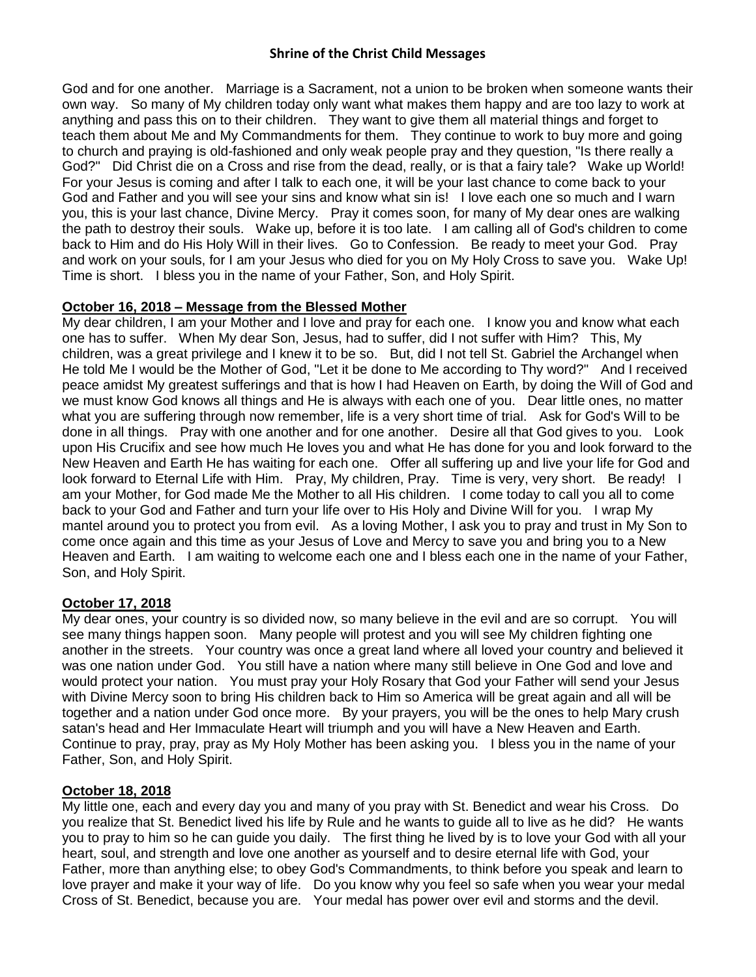God and for one another. Marriage is a Sacrament, not a union to be broken when someone wants their own way. So many of My children today only want what makes them happy and are too lazy to work at anything and pass this on to their children. They want to give them all material things and forget to teach them about Me and My Commandments for them. They continue to work to buy more and going to church and praying is old-fashioned and only weak people pray and they question, "Is there really a God?" Did Christ die on a Cross and rise from the dead, really, or is that a fairy tale? Wake up World! For your Jesus is coming and after I talk to each one, it will be your last chance to come back to your God and Father and you will see your sins and know what sin is! I love each one so much and I warn you, this is your last chance, Divine Mercy. Pray it comes soon, for many of My dear ones are walking the path to destroy their souls. Wake up, before it is too late. I am calling all of God's children to come back to Him and do His Holy Will in their lives. Go to Confession. Be ready to meet your God. Pray and work on your souls, for I am your Jesus who died for you on My Holy Cross to save you. Wake Up! Time is short. I bless you in the name of your Father, Son, and Holy Spirit.

### **October 16, 2018 – Message from the Blessed Mother**

My dear children, I am your Mother and I love and pray for each one. I know you and know what each one has to suffer. When My dear Son, Jesus, had to suffer, did I not suffer with Him? This, My children, was a great privilege and I knew it to be so. But, did I not tell St. Gabriel the Archangel when He told Me I would be the Mother of God, "Let it be done to Me according to Thy word?" And I received peace amidst My greatest sufferings and that is how I had Heaven on Earth, by doing the Will of God and we must know God knows all things and He is always with each one of you. Dear little ones, no matter what you are suffering through now remember, life is a very short time of trial. Ask for God's Will to be done in all things. Pray with one another and for one another. Desire all that God gives to you. Look upon His Crucifix and see how much He loves you and what He has done for you and look forward to the New Heaven and Earth He has waiting for each one. Offer all suffering up and live your life for God and look forward to Eternal Life with Him. Pray, My children, Pray. Time is very, very short. Be ready! I am your Mother, for God made Me the Mother to all His children. I come today to call you all to come back to your God and Father and turn your life over to His Holy and Divine Will for you. I wrap My mantel around you to protect you from evil. As a loving Mother, I ask you to pray and trust in My Son to come once again and this time as your Jesus of Love and Mercy to save you and bring you to a New Heaven and Earth. I am waiting to welcome each one and I bless each one in the name of your Father, Son, and Holy Spirit.

# **October 17, 2018**

My dear ones, your country is so divided now, so many believe in the evil and are so corrupt. You will see many things happen soon. Many people will protest and you will see My children fighting one another in the streets. Your country was once a great land where all loved your country and believed it was one nation under God. You still have a nation where many still believe in One God and love and would protect your nation. You must pray your Holy Rosary that God your Father will send your Jesus with Divine Mercy soon to bring His children back to Him so America will be great again and all will be together and a nation under God once more. By your prayers, you will be the ones to help Mary crush satan's head and Her Immaculate Heart will triumph and you will have a New Heaven and Earth. Continue to pray, pray, pray as My Holy Mother has been asking you. I bless you in the name of your Father, Son, and Holy Spirit.

# **October 18, 2018**

My little one, each and every day you and many of you pray with St. Benedict and wear his Cross. Do you realize that St. Benedict lived his life by Rule and he wants to guide all to live as he did? He wants you to pray to him so he can guide you daily. The first thing he lived by is to love your God with all your heart, soul, and strength and love one another as yourself and to desire eternal life with God, your Father, more than anything else; to obey God's Commandments, to think before you speak and learn to love prayer and make it your way of life. Do you know why you feel so safe when you wear your medal Cross of St. Benedict, because you are. Your medal has power over evil and storms and the devil.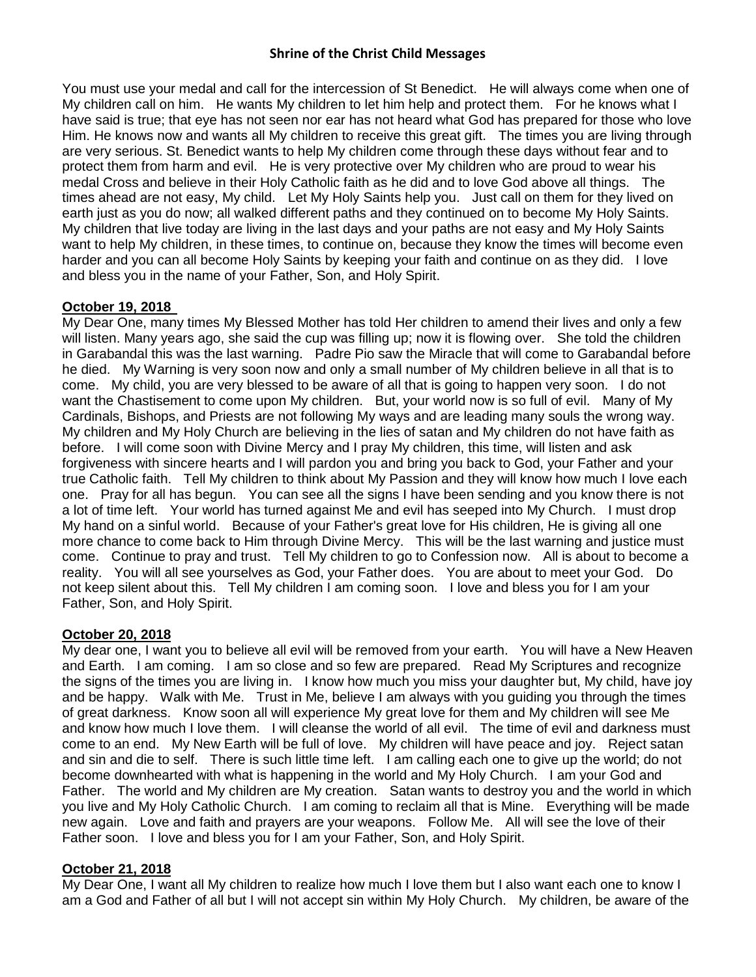You must use your medal and call for the intercession of St Benedict. He will always come when one of My children call on him. He wants My children to let him help and protect them. For he knows what I have said is true; that eye has not seen nor ear has not heard what God has prepared for those who love Him. He knows now and wants all My children to receive this great gift. The times you are living through are very serious. St. Benedict wants to help My children come through these days without fear and to protect them from harm and evil. He is very protective over My children who are proud to wear his medal Cross and believe in their Holy Catholic faith as he did and to love God above all things. The times ahead are not easy, My child. Let My Holy Saints help you. Just call on them for they lived on earth just as you do now; all walked different paths and they continued on to become My Holy Saints. My children that live today are living in the last days and your paths are not easy and My Holy Saints want to help My children, in these times, to continue on, because they know the times will become even harder and you can all become Holy Saints by keeping your faith and continue on as they did. I love and bless you in the name of your Father, Son, and Holy Spirit.

### **October 19, 2018**

My Dear One, many times My Blessed Mother has told Her children to amend their lives and only a few will listen. Many years ago, she said the cup was filling up; now it is flowing over. She told the children in Garabandal this was the last warning. Padre Pio saw the Miracle that will come to Garabandal before he died. My Warning is very soon now and only a small number of My children believe in all that is to come. My child, you are very blessed to be aware of all that is going to happen very soon. I do not want the Chastisement to come upon My children. But, your world now is so full of evil. Many of My Cardinals, Bishops, and Priests are not following My ways and are leading many souls the wrong way. My children and My Holy Church are believing in the lies of satan and My children do not have faith as before. I will come soon with Divine Mercy and I pray My children, this time, will listen and ask forgiveness with sincere hearts and I will pardon you and bring you back to God, your Father and your true Catholic faith. Tell My children to think about My Passion and they will know how much I love each one. Pray for all has begun. You can see all the signs I have been sending and you know there is not a lot of time left. Your world has turned against Me and evil has seeped into My Church. I must drop My hand on a sinful world. Because of your Father's great love for His children, He is giving all one more chance to come back to Him through Divine Mercy. This will be the last warning and justice must come. Continue to pray and trust. Tell My children to go to Confession now. All is about to become a reality. You will all see yourselves as God, your Father does. You are about to meet your God. Do not keep silent about this. Tell My children I am coming soon. I love and bless you for I am your Father, Son, and Holy Spirit.

### **October 20, 2018**

My dear one, I want you to believe all evil will be removed from your earth. You will have a New Heaven and Earth. I am coming. I am so close and so few are prepared. Read My Scriptures and recognize the signs of the times you are living in. I know how much you miss your daughter but, My child, have joy and be happy. Walk with Me. Trust in Me, believe I am always with you guiding you through the times of great darkness. Know soon all will experience My great love for them and My children will see Me and know how much I love them. I will cleanse the world of all evil. The time of evil and darkness must come to an end. My New Earth will be full of love. My children will have peace and joy. Reject satan and sin and die to self. There is such little time left. I am calling each one to give up the world; do not become downhearted with what is happening in the world and My Holy Church. I am your God and Father. The world and My children are My creation. Satan wants to destroy you and the world in which you live and My Holy Catholic Church. I am coming to reclaim all that is Mine. Everything will be made new again. Love and faith and prayers are your weapons. Follow Me. All will see the love of their Father soon. I love and bless you for I am your Father, Son, and Holy Spirit.

### **October 21, 2018**

My Dear One, I want all My children to realize how much I love them but I also want each one to know I am a God and Father of all but I will not accept sin within My Holy Church. My children, be aware of the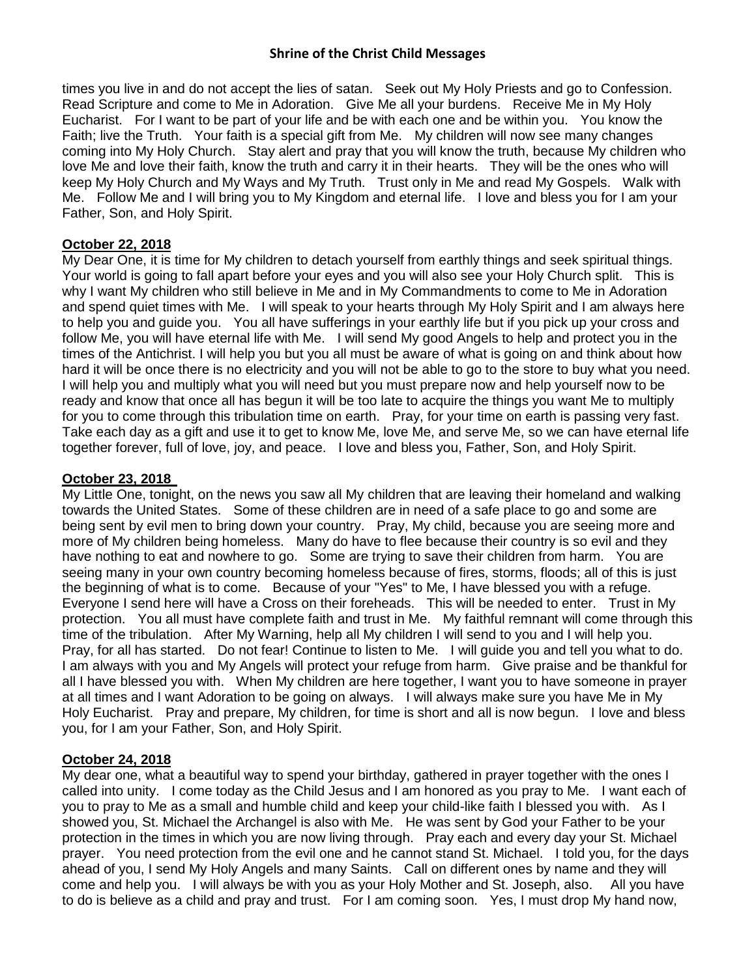times you live in and do not accept the lies of satan. Seek out My Holy Priests and go to Confession. Read Scripture and come to Me in Adoration. Give Me all your burdens. Receive Me in My Holy Eucharist. For I want to be part of your life and be with each one and be within you. You know the Faith; live the Truth. Your faith is a special gift from Me. My children will now see many changes coming into My Holy Church. Stay alert and pray that you will know the truth, because My children who love Me and love their faith, know the truth and carry it in their hearts. They will be the ones who will keep My Holy Church and My Ways and My Truth. Trust only in Me and read My Gospels. Walk with Me. Follow Me and I will bring you to My Kingdom and eternal life. I love and bless you for I am your Father, Son, and Holy Spirit.

### **October 22, 2018**

My Dear One, it is time for My children to detach yourself from earthly things and seek spiritual things. Your world is going to fall apart before your eyes and you will also see your Holy Church split. This is why I want My children who still believe in Me and in My Commandments to come to Me in Adoration and spend quiet times with Me. I will speak to your hearts through My Holy Spirit and I am always here to help you and guide you. You all have sufferings in your earthly life but if you pick up your cross and follow Me, you will have eternal life with Me. I will send My good Angels to help and protect you in the times of the Antichrist. I will help you but you all must be aware of what is going on and think about how hard it will be once there is no electricity and you will not be able to go to the store to buy what you need. I will help you and multiply what you will need but you must prepare now and help yourself now to be ready and know that once all has begun it will be too late to acquire the things you want Me to multiply for you to come through this tribulation time on earth. Pray, for your time on earth is passing very fast. Take each day as a gift and use it to get to know Me, love Me, and serve Me, so we can have eternal life together forever, full of love, joy, and peace. I love and bless you, Father, Son, and Holy Spirit.

### **October 23, 2018**

My Little One, tonight, on the news you saw all My children that are leaving their homeland and walking towards the United States. Some of these children are in need of a safe place to go and some are being sent by evil men to bring down your country. Pray, My child, because you are seeing more and more of My children being homeless. Many do have to flee because their country is so evil and they have nothing to eat and nowhere to go. Some are trying to save their children from harm. You are seeing many in your own country becoming homeless because of fires, storms, floods; all of this is just the beginning of what is to come. Because of your "Yes" to Me, I have blessed you with a refuge. Everyone I send here will have a Cross on their foreheads. This will be needed to enter. Trust in My protection. You all must have complete faith and trust in Me. My faithful remnant will come through this time of the tribulation. After My Warning, help all My children I will send to you and I will help you. Pray, for all has started. Do not fear! Continue to listen to Me. I will guide you and tell you what to do. I am always with you and My Angels will protect your refuge from harm. Give praise and be thankful for all I have blessed you with. When My children are here together, I want you to have someone in prayer at all times and I want Adoration to be going on always. I will always make sure you have Me in My Holy Eucharist. Pray and prepare, My children, for time is short and all is now begun. I love and bless you, for I am your Father, Son, and Holy Spirit.

### **October 24, 2018**

My dear one, what a beautiful way to spend your birthday, gathered in prayer together with the ones I called into unity. I come today as the Child Jesus and I am honored as you pray to Me. I want each of you to pray to Me as a small and humble child and keep your child-like faith I blessed you with. As I showed you, St. Michael the Archangel is also with Me. He was sent by God your Father to be your protection in the times in which you are now living through. Pray each and every day your St. Michael prayer. You need protection from the evil one and he cannot stand St. Michael. I told you, for the days ahead of you, I send My Holy Angels and many Saints. Call on different ones by name and they will come and help you. I will always be with you as your Holy Mother and St. Joseph, also. All you have to do is believe as a child and pray and trust. For I am coming soon. Yes, I must drop My hand now,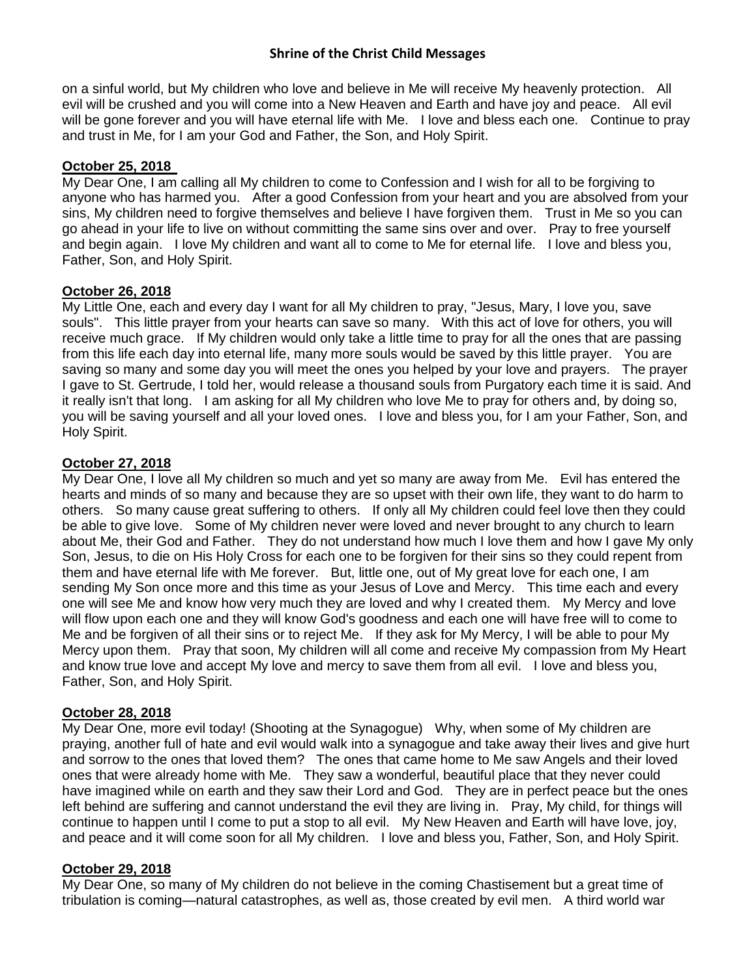on a sinful world, but My children who love and believe in Me will receive My heavenly protection. All evil will be crushed and you will come into a New Heaven and Earth and have joy and peace. All evil will be gone forever and you will have eternal life with Me. I love and bless each one. Continue to pray and trust in Me, for I am your God and Father, the Son, and Holy Spirit.

## **October 25, 2018**

My Dear One, I am calling all My children to come to Confession and I wish for all to be forgiving to anyone who has harmed you. After a good Confession from your heart and you are absolved from your sins, My children need to forgive themselves and believe I have forgiven them. Trust in Me so you can go ahead in your life to live on without committing the same sins over and over. Pray to free yourself and begin again. I love My children and want all to come to Me for eternal life. I love and bless you, Father, Son, and Holy Spirit.

### **October 26, 2018**

My Little One, each and every day I want for all My children to pray, "Jesus, Mary, I love you, save souls". This little prayer from your hearts can save so many. With this act of love for others, you will receive much grace. If My children would only take a little time to pray for all the ones that are passing from this life each day into eternal life, many more souls would be saved by this little prayer. You are saving so many and some day you will meet the ones you helped by your love and prayers. The prayer I gave to St. Gertrude, I told her, would release a thousand souls from Purgatory each time it is said. And it really isn't that long. I am asking for all My children who love Me to pray for others and, by doing so, you will be saving yourself and all your loved ones. I love and bless you, for I am your Father, Son, and Holy Spirit.

### **October 27, 2018**

My Dear One, I love all My children so much and yet so many are away from Me. Evil has entered the hearts and minds of so many and because they are so upset with their own life, they want to do harm to others. So many cause great suffering to others. If only all My children could feel love then they could be able to give love. Some of My children never were loved and never brought to any church to learn about Me, their God and Father. They do not understand how much I love them and how I gave My only Son, Jesus, to die on His Holy Cross for each one to be forgiven for their sins so they could repent from them and have eternal life with Me forever. But, little one, out of My great love for each one, I am sending My Son once more and this time as your Jesus of Love and Mercy. This time each and every one will see Me and know how very much they are loved and why I created them. My Mercy and love will flow upon each one and they will know God's goodness and each one will have free will to come to Me and be forgiven of all their sins or to reject Me. If they ask for My Mercy, I will be able to pour My Mercy upon them. Pray that soon, My children will all come and receive My compassion from My Heart and know true love and accept My love and mercy to save them from all evil. I love and bless you, Father, Son, and Holy Spirit.

# **October 28, 2018**

My Dear One, more evil today! (Shooting at the Synagogue) Why, when some of My children are praying, another full of hate and evil would walk into a synagogue and take away their lives and give hurt and sorrow to the ones that loved them? The ones that came home to Me saw Angels and their loved ones that were already home with Me. They saw a wonderful, beautiful place that they never could have imagined while on earth and they saw their Lord and God. They are in perfect peace but the ones left behind are suffering and cannot understand the evil they are living in. Pray, My child, for things will continue to happen until I come to put a stop to all evil. My New Heaven and Earth will have love, joy, and peace and it will come soon for all My children. I love and bless you, Father, Son, and Holy Spirit.

### **October 29, 2018**

My Dear One, so many of My children do not believe in the coming Chastisement but a great time of tribulation is coming—natural catastrophes, as well as, those created by evil men. A third world war